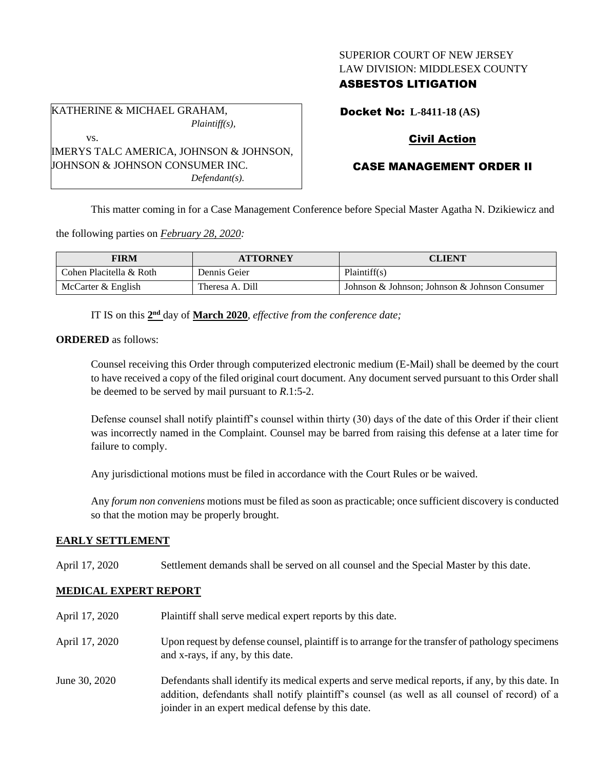## SUPERIOR COURT OF NEW JERSEY LAW DIVISION: MIDDLESEX COUNTY

## ASBESTOS LITIGATION

KATHERINE & MICHAEL GRAHAM, *Plaintiff(s),* vs. IMERYS TALC AMERICA, JOHNSON & JOHNSON, JOHNSON & JOHNSON CONSUMER INC.

*Defendant(s).*

Docket No: **L-8411-18 (AS)**

# Civil Action

# CASE MANAGEMENT ORDER II

This matter coming in for a Case Management Conference before Special Master Agatha N. Dzikiewicz and

the following parties on *February 28, 2020:*

| FIRM                    | <b>ATTORNEY</b> | <b>CLIENT</b>                                 |
|-------------------------|-----------------|-----------------------------------------------|
| Cohen Placitella & Roth | Dennis Geier    | Plaintiff(s)                                  |
| McCarter & English      | Theresa A. Dill | Johnson & Johnson: Johnson & Johnson Consumer |

IT IS on this  $2<sup>nd</sup>$  day of **March 2020**, *effective from the conference date*;

**ORDERED** as follows:

Counsel receiving this Order through computerized electronic medium (E-Mail) shall be deemed by the court to have received a copy of the filed original court document. Any document served pursuant to this Order shall be deemed to be served by mail pursuant to *R*.1:5-2.

Defense counsel shall notify plaintiff's counsel within thirty (30) days of the date of this Order if their client was incorrectly named in the Complaint. Counsel may be barred from raising this defense at a later time for failure to comply.

Any jurisdictional motions must be filed in accordance with the Court Rules or be waived.

Any *forum non conveniens* motions must be filed as soon as practicable; once sufficient discovery is conducted so that the motion may be properly brought.

### **EARLY SETTLEMENT**

April 17, 2020 Settlement demands shall be served on all counsel and the Special Master by this date.

### **MEDICAL EXPERT REPORT**

| April 17, 2020 | Plaintiff shall serve medical expert reports by this date.                                                                                                                                                                                               |
|----------------|----------------------------------------------------------------------------------------------------------------------------------------------------------------------------------------------------------------------------------------------------------|
| April 17, 2020 | Upon request by defense counsel, plaintiff is to arrange for the transfer of pathology specimens<br>and x-rays, if any, by this date.                                                                                                                    |
| June 30, 2020  | Defendants shall identify its medical experts and serve medical reports, if any, by this date. In<br>addition, defendants shall notify plaintiff's counsel (as well as all counsel of record) of a<br>joinder in an expert medical defense by this date. |